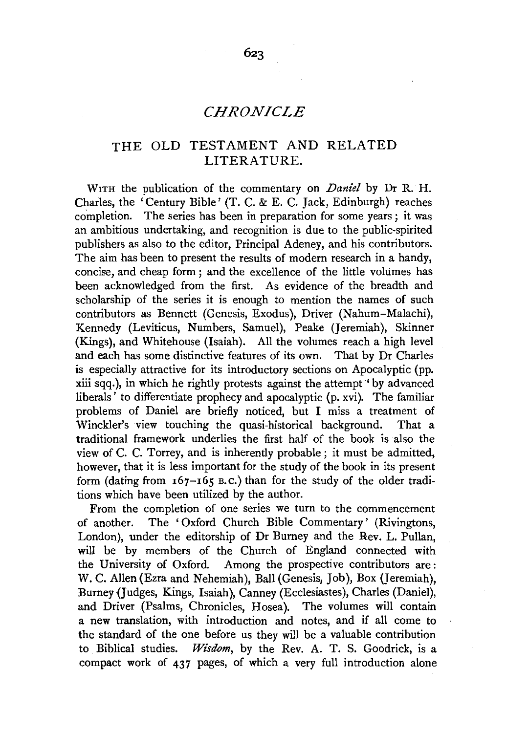# THE OLD TESTAMENT AND RELATED LITERATURE.

WITH the publication of the commentary on *Daniel* by Dr R. H. Charles, the 'Century Bible' (T. C. & E. C. Jack, Edinburgh) reaches completion. The series has been in preparation for some years; it was an ambitious undertaking, and recognition is due to the public-spirited publishers as also to the editor, Principal Adeney, and his contributors. The aim has been to present the results of modern research in a handy, concise, and cheap form ; and the excellence of the little volumes has been acknowledged from the first. As evidence of the breadth and scholarship of the series it is enough to mention the names of such contributors as Bennett (Genesis, Exodus), Driver (Nahum-Malachi), Kennedy (Leviticus, Numbers, Samuel), Peake (Jeremiah), Skinner (Kings), and Whitehouse (Isaiah). All the volumes reach a high level and each has some distinctive features of its own. That by Dr Charles is especially attractive for its introductory sections on Apocalyptic (pp. xiii sqq.), in which he rightly protests against the attempt. by advanced liberals' to differentiate prophecy and apocalyptic (p. xvi). The familiar problems of Daniel are briefly noticed, but I miss a treatment of Winckler's view touching the quasi-historical background. That a traditional framework underlies the first half of the book is also the view of C. C. Torrey, and is inherently probable; it must be admitted, however, that it is less important for the study of the book in its present form (dating from  $167-165$  B.C.) than for the study of the older traditions which have been utilized by the author.

From the completion of one series we turn to the commencement of another. The 'Oxford Church Bible Commentary' (Rivingtons, London), under the editorship of Dr Burney and the Rev. L. Pullan, will be by members of the Church of England connected with the University of Oxford. Among the prospective contributors are: W. C. Allen (Ezra and Nehemiah), Ball (Genesis, Job), Box (Jeremiah), Burney <Judges, Kings, Isaiah), Canney (Ecclesiastes), Charles (Daniel), and Driver (Psalms, Chronicles, Hosea). The volumes will contain a new translation, with introduction and notes, and if all come to the standard of the one before us they will be a valuable contribution to Biblical studies. *Wisdom*, by the Rev. A. T. S. Goodrick, is a compact work of 437 pages, of which a very full introduction alone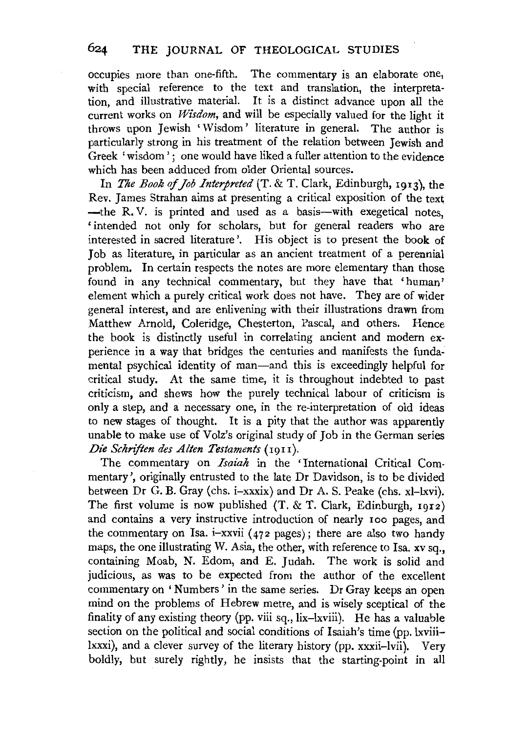## 624 THE JOURNAL OF THEOLOGICAL STUDIES

occupies more than one-fifth. The commentary is an elaborate one, with special reference to the text and translation, the interpretation, and illustrative material. It is a distinct advance upon all the current works on *Wisdom,* and will be especially valued for the light it throws upon Jewish ' Wisdom ' literature in general. The author is particularly strong in his treatment of the relation between Jewish and Greek 'wisdom': one would have liked a fuller attention to the evidence which has been adduced from older Oriental sources.

In *The Book of Job Interpreted* (T. & T. Clark, Edinburgh, 1913), the Rev. James Strahan aims at presenting a critical exposition of the text -the R.V. is printed and used as a basis-with exegetical notes. 'intended not only for scholars, but for general readers who are interested in sacred literature'. His object is to present the book of Job as literature, in particular as an ancient treatment of a perennial problem. In certain respects the notes are more elementary than those found in any technical commentary, but they have that 'human' element which a purely critical work does not have. They are of wider general interest, and are enlivening with their illustrations drawn from Matthew Arnold, Coleridge, Chesterton, Pascal, and others. Hence the book is distinctly useful in correlating ancient and modern experience in a way that bridges the centuries and manifests the fundamental psychical identity of man—and this is exceedingly helpful for critical study. At the same time, it is throughout indebted to past criticism, and shews how the purely technical labour of criticism is only a step, and a necessary one, in the re-interpretation of old ideas to new stages of thought. It is a pity that the author was apparently unable to make use of Volz's original study of Job in the German series *Die Schriften des Alten Testaments* (1911).

The commentary on *Isaiah* in the 'International Critical Commentary', originally entrusted to the late Dr Davidson, is to be divided between Dr G. B. Gray (chs. i-xxxix) and Dr A. S. Peake (chs. xl-lxvi). The first volume is now published (T. & T. Clark, Edinburgh, 1912) and contains a very instructive introduction of nearly 1oo pages, and the commentary on Isa. i-xxvii (472 pages); there are also two handy maps, the one illustrating W. Asia, the other, with reference to Isa. xv sq., containing Moab, N. Edom, and E. Judah. The work is solid and judicious, as was to be expected from the author of the excellent commentary on 'Numbers' in the same series. Dr Gray keeps an open mind on the problems of Hebrew metre, and is wisely sceptical of the finality of any existing theory (pp. viii sq., lix-lxviii). He has a valuable section on the political and social conditions of Isaiah's time (pp. lxviiilxxxi), and a clever survey of the literary history (pp. xxxii-lvii). Very boldly, but surely rightly, he insists that the starting-point in all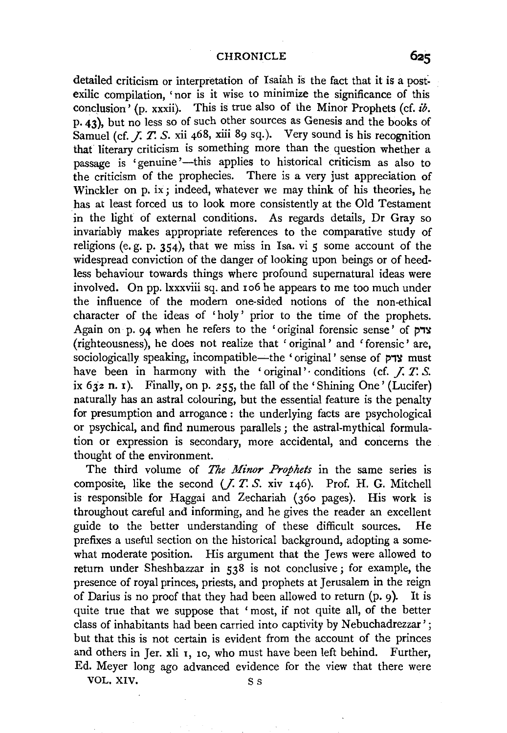detailed criticism or interpretation of Isaiah is the fact that it is a postexilic compilation, 'nor is it wise to minimize the significance of this conclusion' (p. xxxii). This is true also of the Minor Prophets (cf. *ib.*  p. 43), but no less so of such other sources as Genesis and the books of Samuel (cf. *J. T. S.* xii 468, xiii 89 sq.). Very sound is his recognition that literary criticism is something more than the question whether a passage is 'genuine'—this applies to historical criticism as also to the criticism of the prophecies. There is a very just appreciation of Winckler on p. ix; indeed, whatever we may think of his theories, he has at least forced us to look more consistently at the Old Testament in the light of external conditions. As regards details, Dr Gray so invariably makes appropriate references to the comparative study of religions (e.g. p. 354), that we miss in Isa. vi  $\epsilon$  some account of the widespread conviction of the danger of looking upon beings or of heedless behaviour towards things where profound supernatural ideas were involved. On pp. lxxxviii sq. and 106 he appears to me too much under the influence of the modern one-sided notions of the non-ethical character of the ideas of 'holy' prior to the time of the prophets. Again on p. 94 when he refers to the 'original forensic sense' of  $p$ <sup>x</sup> (righteousness), he does not realize that 'original' and 'forensic' are, sociologically speaking, incompatible--the 'original' sense of צדק have been in harmony with the 'original' conditions (cf. *J. T. S.* ix 632 n. 1). Finally, on p. 255, the fall of the 'Shining One' (Lucifer) naturally has an astral colouring, but the essential feature is the penalty for presumption and arrogance : the underlying facts are psychological or psychical, and find numerous parallels ; the astral-mythical formulation or expression is secondary, more accidental, and concerns the thought of the environment.

The third volume of *The Minor Prophets* in the same series is composite, like the second (J. *T.* S. xiv 146). Prof. H. G. Mitchell is responsible for Haggai and Zechariah (36o pages). His work is throughout careful and informing, and he gives the reader an excellent guide to the better understanding of these difficult sources. He prefixes a useful section on the historical background, adopting a somewhat moderate position. His argument that the Jews were allowed to return under Sheshbazzar in 538 is not conclusive; for example, the presence of royal princes, priests, and prophets at Jerusalem in the reign of Darius is no proof that they had been allowed to return  $(p, 9)$ . It is quite true that we suppose that 'most, if not quite all, of the better class of inhabitants had been carried into captivity by Nebuchadrezzar'; but that this is not certain is evident from the account of the princes and others in Jer. xli 1, 10, who must have been left behind. Further, Ed. Meyer long ago advanced evidence for the view that there were

VOL. XIV. S s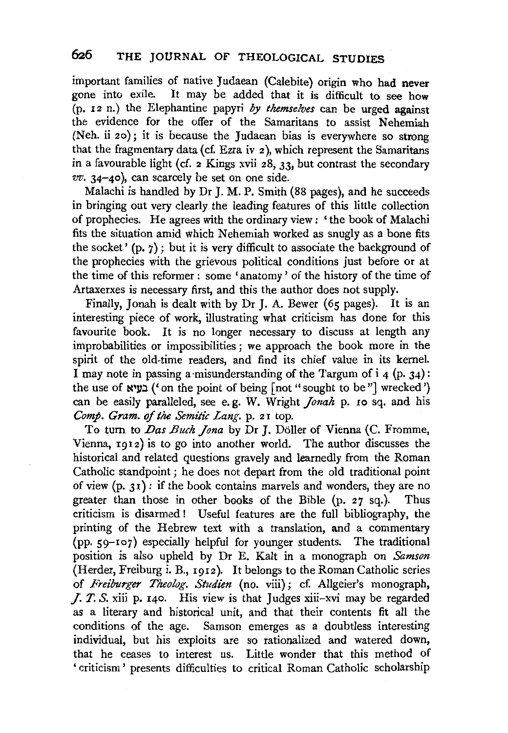important families of native Judaean (Calebite) origin who had never gone into exile. It may be added that it is difficult to see how  $(p. 12 n.)$  the Elephantine papyri *by themselves* can be urged against the evidence for the offer of the Samaritans to assist Nehemiah (Neh. ii 2o); it is because the Judaean bias is everywhere so strong that the fragmentary data (cf. Ezra iv 2), which represent the Samaritans in a favourable light (cf. 2 Kings xvii 28, 33, but contrast the secondary *vv.* 34-40), can scarcely he set on one side.

Malachi is handled by Dr J. M.P. Smith (88 pages), and he succeeds in bringing out very clearly the leading features of this little collection of prophecies. He agrees with the ordinary view : ' the book of Malachi fits the situation amid which Nehemiah worked as snugly as a bone fits the socket'  $(p, 7)$ ; but it is very difficult to associate the background of the prophecies with the grievous political conditions just before or at the time of this reformer : some 'anatomy' of the history of the time of Artaxerxes is necessary first, and this the author does not supply.

Finally, Jonah is dealt with by Dr J. A. Bewer (65 pages). It is an interesting piece of work, illustrating what criticism has done for this favourite book. It is no longer necessary to discuss at length any improbabilities or impossibilities ; we approach the book more in the spirit of the old-time readers, and find its chief value in its kernel. I may note in passing a misunderstanding of the Targum of  $i \neq (p, 34)$ : the use of  $\lim_{\delta}$  ('on the point of being [not " sought to be"] wrecked') can be easily paralleled, see e. g. W. Wright *Jonah* p. 10 sq. and his *Comp. Gram.* of *the Semitic Lang.* p. 2 I top.

To turn to *Das Buch Jona* by Dr J. Döller of Vienna (C. Fromme, Vienna, 19I2) is to go into another world. The author discusses the historical and related questions gravely and learnedly from the Roman Catholic standpoint; he does not depart from the old traditional point of view  $(p, 31)$ : if the book contains marvels and wonders, they are no greater than those in other books of the Bible (p. 27 sq.). Thus criticism is disarmed! Useful features are the full bibliography, the printing of the Hebrew text with a translation, and a commentary (pp. 59-Io7) especially helpful for younger students. The traditional position is also upheld by Dr E. Kalt in a monograph on *Samson*  (Herder, Freiburg i. B., I912). It belongs to the Roman Catholic series of *Freiburger Theolog. Studien* (no. viii); cf. Allgeier's monograph, J. *T. S.* xiii p. 140. His view is that Judges xiii-xvi may be regarded as a literary and historical unit, and that their contents fit all the conditions of the age. Samson emerges as a doubtless interesting individual, but his exploits are so rationalized and watered down, that he ceases to interest us. Little wonder that this method of 'criticism' presents difficulties to critical Roman Catholic scholarship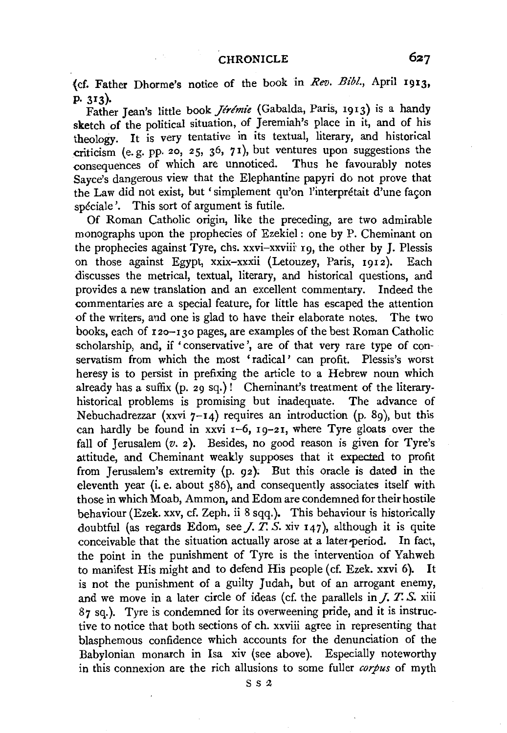(cf. Father Dhorme's notice of the book in *Rev. Bib!.,* April 1913, p. 313)·

Father Jean's little book *Jérémie* (Gabalda, Paris, 1913) is a handy sketch of the political situation, of Jeremiah's place in it, and of his theology. It is very tentative in its textual, literary, and historical criticism (e.g. pp. 20, 25, 36, 71), but ventures upon suggestions the consequences of which are unnoticed. Thus he favourably notes Sayee's dangerous view that the Elephantine papyri do not prove that the Law did not exist, but 'simplement qu'on l'interprétait d'une facon spéciale'. This sort of argument is futile.

Of Roman Catholic origin, like the preceding, are two admirable monographs upon the prophecies of Ezekiel: one by P. Cheminant on the prophecies against Tyre, chs. xxvi-xxviii· 19, the other by J. Plessis on those against Egypt, xxix-xxxii (Letouzey, Paris, 1912 ). Each discusses the metrical, textual, literary, and historical questions, and provides a new translation and an excellent commentary. Indeed the commentaries are a special feature, for little has escaped the attention of the writers, and one is glad to have their elaborate notes. The two books, each of  $120 - 130$  pages, are examples of the best Roman Catholic scholarship, and, if 'conservative', are of that very rare type of conservatism from which the most 'radical' can profit. Plessis's worst heresy is to persist in prefixing the article to a Hebrew noun which already has a suffix  $(p, 2q, sq.)!$  Cheminant's treatment of the literaryhistorical problems is promising but inadequate. The advance of Nebuchadrezzar (xxvi  $7-14$ ) requires an introduction (p. 89), but this can hardly be found in xxvi  $1-6$ ,  $19-21$ , where Tyre gloats over the fall of Jerusalem  $(v. 2)$ . Besides, no good reason is given for Tyre's attitude, and Cheminant weakly supposes that it expected to profit from Jerusalem's extremity  $(p, q_2)$ . But this oracle is dated in the eleventh year (i.e. about 586), and consequently associates itself with those in which Moab, Ammon, and Edom are condemned for their hostile behaviour (Ezek. xxv, cf. Zeph. ii 8 sqq.). This behaviour is historically doubtful (as regards Edom, see  $\chi$ ,  $\chi$ ,  $\chi$ ,  $\chi$ ,  $\chi$ ,  $\chi$ <sub>147</sub>), although it is quite conceivable that the situation actually arose at a later-period. In fact, the point in the punishment of Tyre is the intervention of Yahweh to manifest His might and to defend His people (cf. Ezek. xxvi 6). It is not the punishment of a guilty Judah, but of an arrogant enemy, and we move in a later circle of ideas (cf. the parallels in *J. T. S.* xiii 87 sq.). Tyre is condemned for its overweening pride, and it is instructive to notice that both sections of ch. xxviii agree in representing that blasphemous confidence which accounts for the denunciation of the Babylonian monarch in Isa xiv (see above). Especially noteworthy in this connexion are the rich allusions to some fuller *corpus* of myth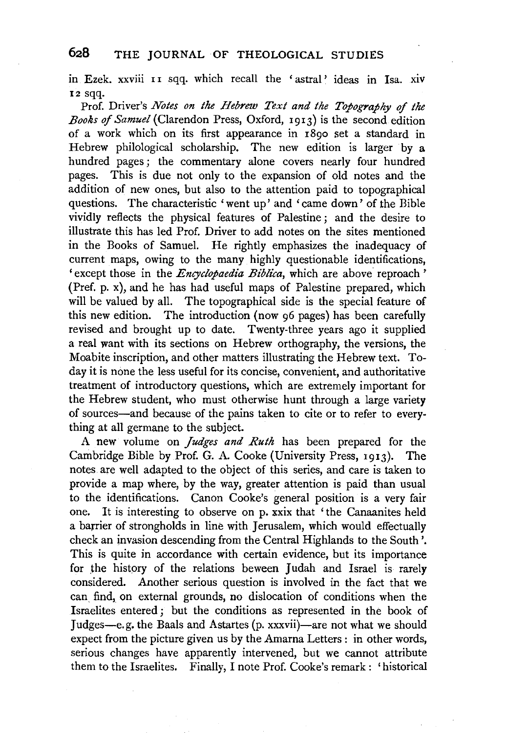in. Ezek. xxviii II sqq. which recall the ' astral ' ideas in Isa. XIV I2 sqq.

Prof. Driver's *Notes on the Hebrew Text and the Topography of the BooRs of Samuel* (Clarendon Press, Oxford, 1913) is the second edition of a work which on its first appearance in  $\overline{18}$ 00 set a standard in Hebrew philological scholarship. The new edition is larger by a hundred pages ; the commentary alone covers nearly four hundred pages. This is due not only to the expansion of old notes and the addition of new ones, but also to the attention paid to topographical questions. The characteristic 'went up' and 'came down' of the Bible vividly reflects the physical features of Palestine ; and the desire to illustrate this has led Prof. Driver to add notes on the sites mentioned in the Books of Samuel. He rightly emphasizes the inadequacy of current maps, owing to the many highly questionable identifications, ' except those in the *Encyclopaedia Biblica,* which are above reproach ' (Pref. p. x), and he has had useful maps of Palestine prepared, which will be valued by all. The topographical side is the special feature of this new edition. The introduction (now 96 pages) has been carefully revised and brought up to date. Twenty-three years ago it supplied a real want with its sections on Hebrew orthography, the versions, the Moabite inscription, and other matters illustrating the Hebrew text. Today it is none the less useful for its concise, convenient, and authoritative treatment of introductory questions, which are extremely important for the Hebrew student, who must otherwise hunt through a large variety of sources-and because of the pains taken to cite or to refer to everything at all germane to the subject.

A new volume on *judges and Ruth* has been prepared for the Cambridge Bible by Prof. G. A. Cooke (University Press, 1913). The notes are well adapted to the object of this series, and care is taken to provide a map where, by the way, greater attention is paid than usual to the identifications. Canon Cooke's general position is a very fair one. It is interesting to observe on p. xxix that 'the Canaanites held a barrier of strongholds in line with Jerusalem, which would effectually check an invasion descending from the Central Highlands to the South'. This is quite in accordance with certain evidence, but its importance for the history of the relations beween Judah and Israel is rarely considered. Another serious question is involved in the fact that we can. find, on external grounds, no dislocation of conditions when the Israelites entered ; but the conditions as represented in the book of Judges-e. g. the Baals and Astartes (p. xxxvii)-are not what we should expect from the picture given us by the Amarna Letters : in other words, serious changes have apparently intervened, but we cannot attribute them to the Israelites. Finally, I note Prof. Cooke's remark : 'historical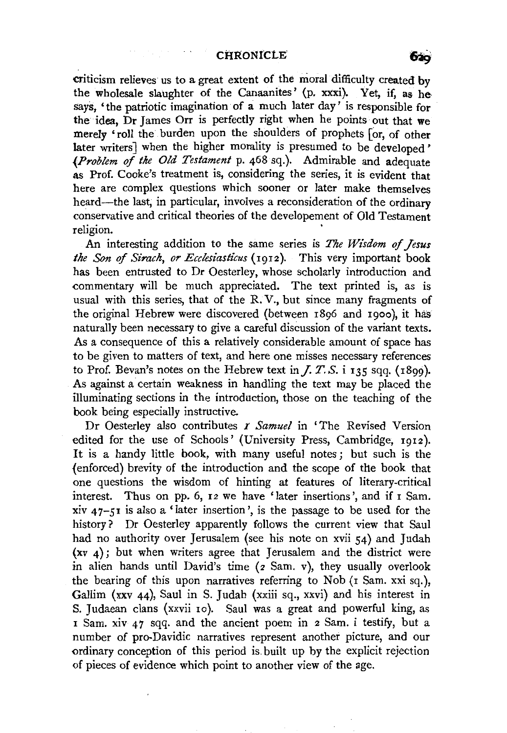criticism relieves us to a great extent of the moral difficulty created by the wholesale slaughter of the Canaanites' (p. xxxi). Yet, if, as he says, 'the patriotic imagination of a much later day' is responsible for the idea, Dr James Orr is perfectly right when he points out that we merely 'roll the burden upon the shoulders of prophets for, of other later writers] when the higher morality is presumed to be developed' *(Problem of the Old Testament* p. 468 sq.). Admirable and adequate as Prof. Cooke's treatment is, considering the series, it is evident that here are complex questions which sooner or later make themselves heard-the last, in particular, involves a reconsideration of the ordinary conservative and critical theories of the developement of Old Testament religion.

An interesting addition to the same series is *The Wisdom of Jesus the Son* of *Sirach, or Ecclesiasticus* (I912). This very important book has been entrusted to Dr Oesterley, whose scholarly introduction and commentary will be much appreciated. The text printed is, as is usual with this series, that of the R.V., but since many fragments of the original Hebrew were discovered (between 1896 and 19oo), it has naturally been necessary to give a careful discussion of the variant texts. As a consequence of this a relatively considerable amount of space has to be given to matters of text, and here one misses necessary references to Prof. Bevan's notes on the Hebrew text in  $J. T. S.$  **i** 135 sqq. (1899). As against a certain weakness in handling the text may be placed the illuminating sections in the introduction, those on the teaching of the book being especially instructive.

Dr Oesterley also contributes r *Samuel* in 'The Revised Version edited for the use of Schools' (University Press, Cambridge, I912). It is a handy little book, with many useful notes; but such is the (enforced) brevity of the introduction and the scope of tlte book that one questions the wisdom of hinting at features of literary-critical interest. Thus on pp. 6, 12 we have 'later insertions', and if I Sam. xiv 47-51 is also a' later insertion', is the passage to be used for the history? Dr Oesterley apparently follows the current view that Saul had no authority over Jerusalem (see his note on xvii 54) and Judah (xv 4) ; but when writers agree that Jerusalem and the district were in alien hands until David's time (2 Sam. v), they usually overlook the bearing of this upon narratives referring to Nob (1 Sam. xxi sq.), Gallim (xxv 44), Saul in S. Judah (xxiii sq., xxvi) and his interest in S. Judaean clans (xxvii 10). Saul was a great and powerful king, as I Sam. xiv 47 sqq. and the ancient poem in 2 Sam. i testify, but a number of pro-Davidic narratives represent another picture, and our ordinary conception of this period is. built up by the explicit rejection of pieces of evidence which point to another view of the age.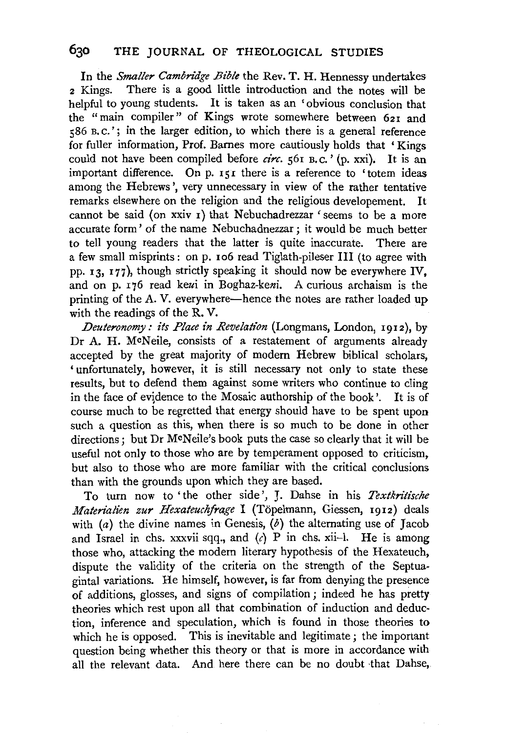In the *Smaller Cambridge Bible* the Rev. T. H. Hennessy undertakes 2 Kings. There is a good little introduction and the notes will be helpful to young students. It is taken as an 'obvious conclusion that the "main compiler" of Kings wrote somewhere between 621 and  $586$  B.C.'; in the larger edition, to which there is a general reference for fuller information, Prof. Barnes more cautiously holds that 'Kings could not have been compiled before *circ*.  $561 B.C.$ <sup>'</sup> (p. xxi). It is an important difference. On p. 151 there is a reference to 'totem ideas among the Hebrews', very unnecessary in view of the rather tentative remarks elsewhere on the religion and the religious developement. It cannot be said (on xxiv I) that Nebuchadrezzar ' seems to be a more accurate form' of the name Nebuchadnezzar; it would be much better to tell young readers that the latter is quite inaccurate. There are a few small misprints: on p. ro6 read Tiglath-pileser III (to agree with pp. 13, I77), though strictly speaking it should now be everywhere IV, and on p. I 76 read keui in Boghaz-keni. A curious archaism is the printing of the A. V. everywhere—hence the notes are rather loaded up with the readings of the R. V.

*Deuteronomy:* #s *Place in Revelation* (Longmans, London, 1912), by Dr A. H. McNeile, consists of a restatement of arguments already accepted by the great majority of modem Hebrew biblical scholars, 'unfortunately, however, it is still necessary not only to state these results, but to defend them against some writers who continue to cling in the face of evidence to the Mosaic authorship of the book'. It is of course much to be regretted that energy should have to be spent upon such a question as this, when there is so much to be done in other directions: but Dr McNeile's book puts the case so clearly that it will be useful not only to those who are by temperament opposed to criticism, but also to those who are more familiar with the critical conclusions than with the grounds upon which they are based.

To tum now to 'the other side', J. Dahse in his *Textkritische Materialien zur Hexateuchfrage* I (Topelmann, Giessen, 1912) deals with (a) the divine names in Genesis,  $(b)$  the alternating use of Jacob and Israel in chs. xxxvii sqq., and  $(c)$  P in chs. xii-1. He is among those who, attacking the modem literary hypothesis of the Hexateuch, dispute the validity of the criteria on the strength of the Septuagintal variations. He himself, however, is far from denying the presence of additions, glosses, and signs of compilation ; indeed he has pretty theories which rest upon all that combination of induction and deduction, inference and speculation, which is found in those theories to which he is opposed. This is inevitable and legitimate; the important question being whether this theory or that is more in accordance with all the relevant data. And. here there can be no doubt ·that Dahse,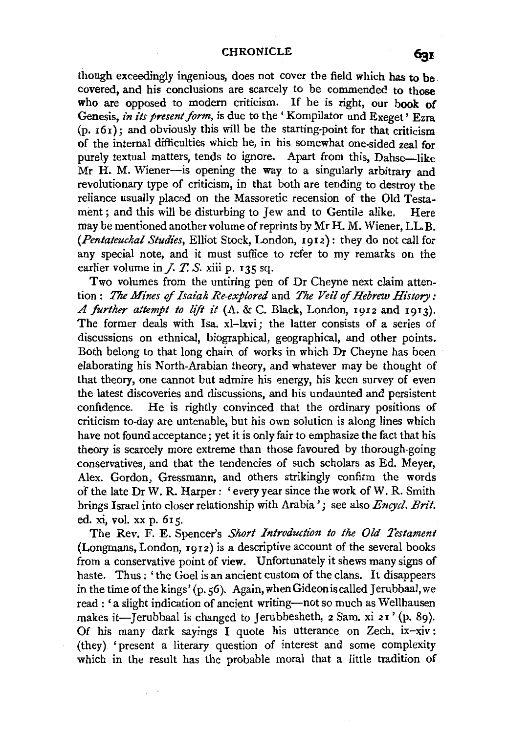though exceedingly ingenious, does not cover the field which has to be covered, and his conclusions are scarcely to be commended to those who are opposed to modern criticism. If he is right, our book of Genesis, *in its present form*, is due to the 'Kompilator und Exeget' Ezra  $(p. 161)$ ; and obviously this will be the starting-point for that criticism of the internal difficulties which he, in his somewhat one-sided zeal for purely textual matters, tends to ignore. Apart from this, Dahse-like Mr H. M. Wiener-is opening the way to a singularly arbitrary and revolutionary type of criticism, in that both are tending to destroy the reliance usually placed on the Massoretic recension of the Old Testament ; and this will be disturbing to Jew and to Gentile alike. Here may be mentioned another volume of reprints by Mr H. M. Wiener, LL.B. *(Pentateuchal Studies,* Elliot Stock, London, I9I2): they do not call for any special note, and it must suffice to refer to my remarks on the earlier volume in *J. T. S.* xiii p. 135 sq.

Two volumes from the untiring pen of Dr Cheyne next claim attention : *The Mines* of *Isaiah Re-explored* and *The Veil* of *Hebrew History: A further attempt to lift it* (A. & C. Black, London, I9I2 and I913). The former deals with Isa. xl-lxvi; the latter consists of a series of discussions on ethnical, biographical, geographical, and other points. Both belong to that long chain of works in which Dr Cheyne has been elaborating his North-Arabian theory, and whatever may be thought of that theory, one cannot but admire his energy, his keen survey of even the latest discoveries and discussions, and his undaunted and persistent confidence. He is rightly convinced that the ordinary positions of criticism to-day are untenable, but his own solution is along lines which have not found acceptance; yet it is only fair to emphasize the fact that his theory is scarcely more extreme than those favoured by thorough-going conservatives, and that the tendencies of such scholars as Ed. Meyer, Alex. Gordon, Gressmann, and others strikingly confirm the words of the late Dr W. R. Harper : 'every year since the work of W. R. Smith brings Israel into closer relationship with Arabia'; see also *Encycl. Brit.*  ed. xi, vol. xx p. 6I5.

The Rev. F. E. Spencer's *Short Introduction to the Old Testament*  (Longmans, London,  $1912$ ) is a descriptive account of the several books from a conservative point of view. Unfortunately it shews many signs of haste. Thus : 'the Goel is an ancient custom of the clans. It disappears in the time of the kings' (p. 56). Again, when Gideon is called Jerubbaal, we read : 'a slight indication of ancient writing-not so much as Wellhausen makes it-Jerubbaal is changed to Jerubbesheth, 2 Sam. xi 21' (p. 89). Of his many dark sayings I quote his utterance on Zech. ix-xiv: (they) 'present a literary question of interest and some complexity which in the result has the probable moral that a little tradition of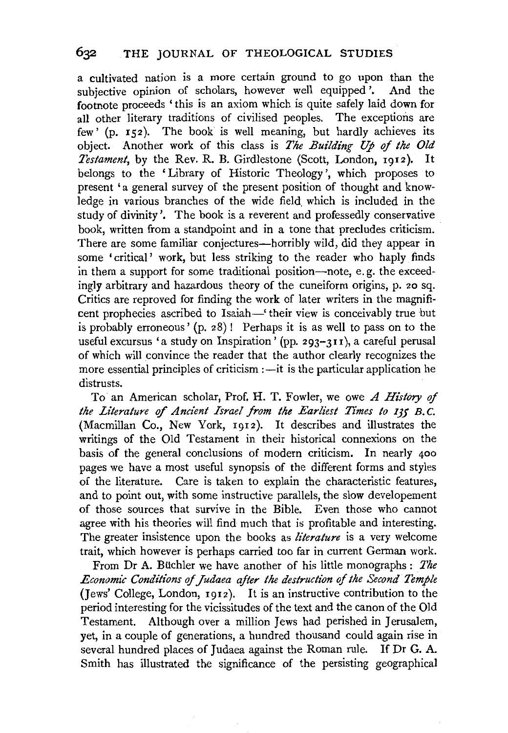a cultivated nation is a more certain ground to go upon than the subjective opinion of scholars, however well equipped'. And the footnote proceeds ' this is an axiom which is quite safely laid down for all other literary traditions of civilised peoples. The exceptions are few  $($ p.  $r$ 52). The book is well meaning, but hardly achieves its object. Another work of this class is *The Building Up of the Old Testament,* by the Rev. R. B. Girdlestone (Scott, London, 1912). It belongs to the 'Library of Historic Theology', which proposes to present 'a general survey of the present position of thought and knowledge in various branches of the wide field. which is included in the study of divinity'. The book is a reverent and professedly conservative book, written from a standpoint and in a tone that precludes criticism. There are some familiar conjectures—horribly wild, did they appear in some 'critical' work, but less striking to the reader who haply finds in them a support for some traditional position-note, e.g. the exceedingly arbitrary and hazardous theory of the cuneiform origins, p. 20 sq. Critics are reproved for finding the work of later writers in the magnificent prophecies ascribed to Isaiah-' their view is conceivably true but is probably erroneous' (p. 28) ! Perhaps it is as well to pass on to the useful excursus 'a study on Inspiration' (pp. 293-311 ), a careful perusal of which will convince the reader that the author clearly recognizes the more essential principles of criticism  $:$   $-$ it is the particular application he distrusts.

To an American scholar, Prof. H. T. Fowler, we owe *A History* of *the Literature of Ancient Israel from the Earliest Times to 135 B.C.* (Macmillan Co., New York, 1912). It describes and illustrates the writings of the Old Testament in their historical connexions on the basis of the general conclusions of modern criticism. In nearly 400 pages we have a most useful synopsis of the different forms and styles of the literature. Care is taken to explain the characteristic features, and to point out, with some instructive parallels, the slow developement of those sources that survive in the Bible. Even those who cannot agree with his theories will find much that is profitable and interesting. The greater insistence upon the books as *literature* is a very welcome trait, which however is perhaps carried too far in current German work.

From Dr A. Buchler we have another of his little monographs : *The Economic Conditions* of *Judaea after the destruction of the Second· Temple*  (Jews' College, London, 1912 ). It is an instructive contribution to the period interesting for the vicissitudes of the text and the canon of the Old Testament. Although over a million Jews had perished in Jerusalem, yet, in a couple of generations, a hundred thousand could again rise in several hundred places of Judaea against the Roman rule. If Dr G. A. Smith has illustrated the significance of the persisting geographical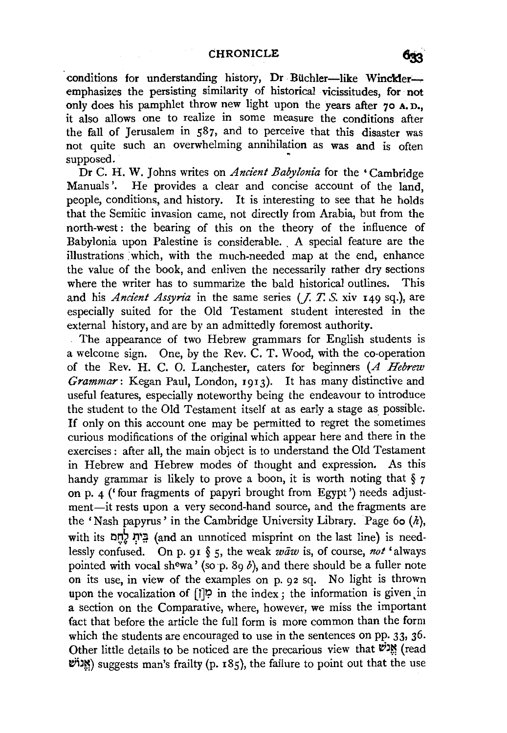conditions for understanding history, Dr Büchler-like Winckleremphasizes the persisting similarity of historical vicissitudes, for not only does his pamphlet throw new light upon the years after 70 A.D., it also allows one to realize in some measure the conditions after the fall of Jerusalem in  $587$ , and to perceive that this disaster was not quite such an overwhelming annihilation as was and is often supposed.

Dr C. H. W. Johns writes on *Ancient Babylonia* for the • Cambridge Manuals'. He provides a clear and concise account of the land, people, conditions, and history. It is interesting to see that he holds that the Semitic invasion came, not directly from Arabia, but from the north-west : the bearing of this on the theory of the influence of Babylonia upon Palestine is considerable. A special feature are the illustrations :which, with the much-needed map at the end, enhance the value of the book, and enliven the necessarily rather dry sections where the writer has to summarize the bald historical outlines. This and his *Ancient Assyn'a* in the same series (J. *T. S.* xiv 149 sq.), are especially suited for the Old Testament student interested in the external history, and are by an admittedly foremost authority.

The appearance of two Hebrew grammars for English students is a welcome sign. One, by the Rev. C. T. Wood, with the co-operation of the Rev. H. C. 0. Lan.chester, caters for beginners (A *Hebrew Grammar:* Kegan Paul, London, 1913). It has many distinctive and useful features, especially noteworthy being the endeavour to introduce the student to the Old Testament itself at as early a stage as possible. If only on this account one may be permitted to regret the sometimes curious modifications of the original which appear here and there in the exercises : after all, the main object is to understand the Old Testament in Hebrew and Hebrew modes of thought and expression. As this handy grammar is likely to prove a boon, it is worth noting that  $\S$  7 on p.  $4$  ('four fragments of papyri brought from Egypt') needs adjustment-it rests upon a very second-hand source, and the fragments are the 'Nash papyrus' in the Cambridge University Library. Page 60  $(h)$ , with its בֵּית לָחֵם (and an unnoticed misprint on the last line) is needlessly confused. On p. 91 § 5, the weak *waw* is, of course, not 'always pointed with vocal shewa' (so p. 89 b), and there should be a fuller note on its use, in view of the examples on p. 92 sq. No light is thrown upon the vocalization of  $[1]$ <sup>1</sup>? in the index ; the information is given in a section on the Comparative, where, however, we miss the important fact that before the article the full form is more common than the form which the students are encouraged to use in the sentences on pp. 33, 36. Other little details to be noticed are the precarious view that  $\mathbf{w}$  (read  $'$ ואֲנוֹש) suggests man's frailty (p. 185), the failure to point out that the use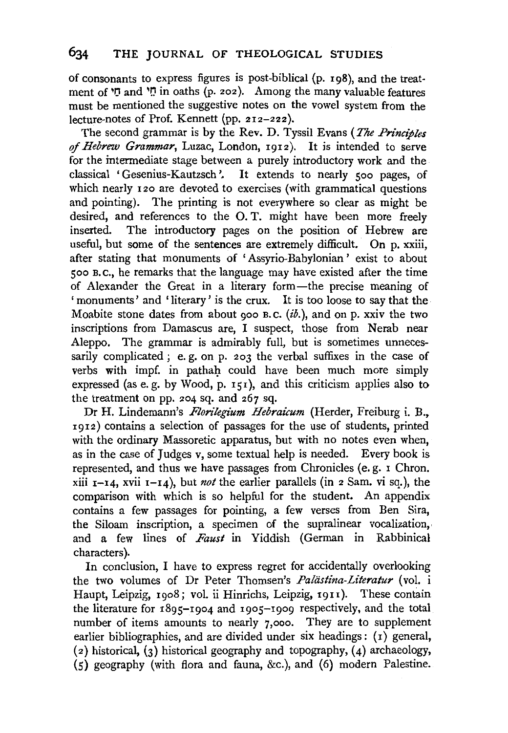of consonants to express figures is post-biblical (p. 198), and the treatment of 'I' and 'I' in oaths (p. 202). Among the many valuable features must be mentioned the suggestive notes on the vowel system from the lecture-notes of Prof. Kennett (pp.  $212-222$ ).

The second grammar is by the Rev. D. Tyssil Evans *(The Principles of Hebrew Grammar,* Luzac, London, 1912). It is intended to serve for the intermediate stage between a purely introductory work and the classical 'Gesenius-Kautzsch '. It extends to nearly soo pages, of which nearly 120 are devoted to exercises (with grammatical questions and pointing). The printing is not everywhere so clear as might be desired, and references to the 0. T. might have been more freely inserted. The introductory pages on the position of Hebrew are useful, but some of the sentences are extremely difficult. On p. xxiii, after stating that monuments of 'Assyria-Babylonian' exist to about soo B.c., he remarks that the language may have existed after the time of Alexander the Great in a literary form—the precise meaning of 'monuments' and 'literary' is the crux. It is too loose to say that the Moabite stone dates from about 900 B.C. (ib.), and on p. xxiv the two inscriptions from Damascus are, I suspect, those from Nerab near Aleppo. The grammar is admirably full, but is sometimes unnecessarily complicated ; e.g. on p. 203 the verbal suffixes in the case of verbs with impf. in pathah could have been much more simply expressed (as e. g. by Wood, p.  $151$ ), and this criticism applies also to the treatment on pp. 204 sq. and 267 sq.

Dr H. Lindemann's *Florilegium Hebraicum* (Herder, Freiburg i. B., I912) contains a selection of passages for the use of students, printed with the ordinary Massoretic apparatus, but with no notes even when, as in the case of Judges v, some textual help is needed. Every book is represented, and thus we have passages from Chronicles (e. g. r Chron. xiii  $r-14$ , xvii  $r-14$ ), but *not* the earlier parallels (in 2 Sam. vi sq.), the comparison with which is so helpful for the student. An appendix contains a few passages for pointing, a few verses from Ben Sira, the Siloam inscription, a specimen of the supralinear vocalization, and a few lines of *Faust* in Yiddish (German in Rabbinical characters).

In conclusion, I have to express regret for accidentally overlooking the two volumes of Dr Peter Thomsen's *Paliistina-Literatur* (vol. i Haupt, Leipzig, 1908; vol. ii Hinrichs, Leipzig, 1911). These contain the literature for I895-I904 and rgos-Igog respectively, and the total number of items amounts to nearly 7,000. They are to supplement earlier bibliographies, and are divided under six headings: (1) general, (2) historical, (3) historical geography and topography, (4) archaeology, (S) geography (with flora and fauna, &c.), and (6) modern Palestine.